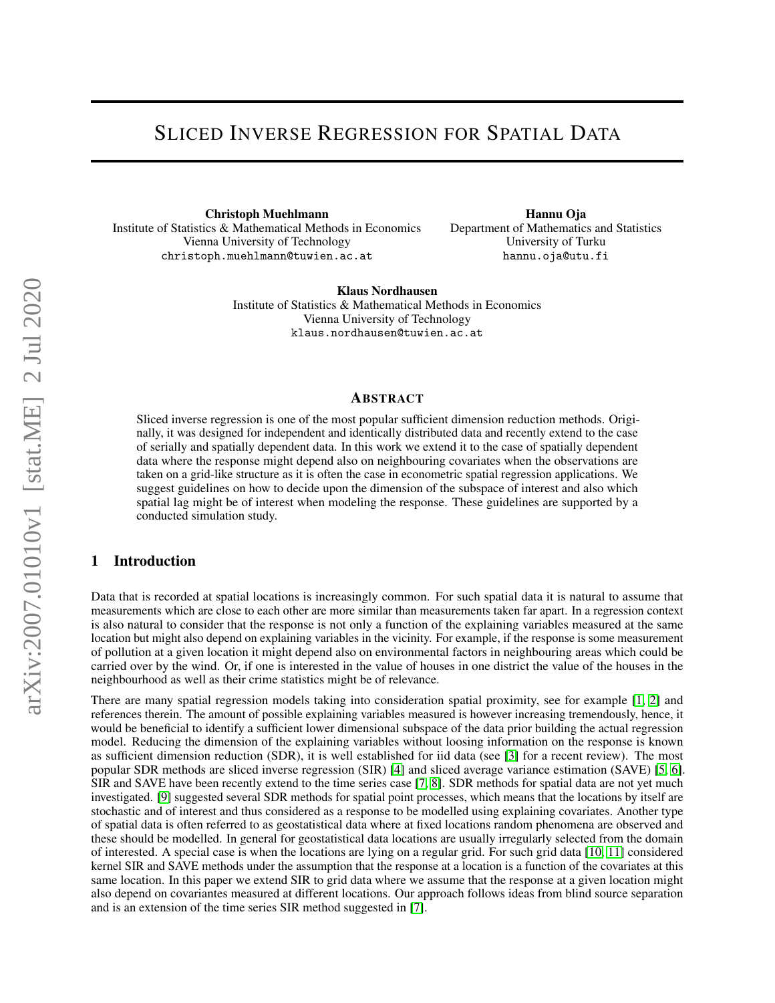# SLICED INVERSE REGRESSION FOR SPATIAL DATA

Christoph Muehlmann Institute of Statistics & Mathematical Methods in Economics Vienna University of Technology christoph.muehlmann@tuwien.ac.at

Hannu Oja Department of Mathematics and Statistics University of Turku hannu.oja@utu.fi

Klaus Nordhausen Institute of Statistics & Mathematical Methods in Economics Vienna University of Technology klaus.nordhausen@tuwien.ac.at

#### ABSTRACT

Sliced inverse regression is one of the most popular sufficient dimension reduction methods. Originally, it was designed for independent and identically distributed data and recently extend to the case of serially and spatially dependent data. In this work we extend it to the case of spatially dependent data where the response might depend also on neighbouring covariates when the observations are taken on a grid-like structure as it is often the case in econometric spatial regression applications. We suggest guidelines on how to decide upon the dimension of the subspace of interest and also which spatial lag might be of interest when modeling the response. These guidelines are supported by a conducted simulation study.

### 1 Introduction

Data that is recorded at spatial locations is increasingly common. For such spatial data it is natural to assume that measurements which are close to each other are more similar than measurements taken far apart. In a regression context is also natural to consider that the response is not only a function of the explaining variables measured at the same location but might also depend on explaining variables in the vicinity. For example, if the response is some measurement of pollution at a given location it might depend also on environmental factors in neighbouring areas which could be carried over by the wind. Or, if one is interested in the value of houses in one district the value of the houses in the neighbourhood as well as their crime statistics might be of relevance.

There are many spatial regression models taking into consideration spatial proximity, see for example [\[1,](#page-14-0) [2\]](#page-14-1) and references therein. The amount of possible explaining variables measured is however increasing tremendously, hence, it would be beneficial to identify a sufficient lower dimensional subspace of the data prior building the actual regression model. Reducing the dimension of the explaining variables without loosing information on the response is known as sufficient dimension reduction (SDR), it is well established for iid data (see [\[3\]](#page-14-2) for a recent review). The most popular SDR methods are sliced inverse regression (SIR) [\[4\]](#page-14-3) and sliced average variance estimation (SAVE) [\[5,](#page-14-4) [6\]](#page-14-5). SIR and SAVE have been recently extend to the time series case [\[7,](#page-14-6) [8\]](#page-14-7). SDR methods for spatial data are not yet much investigated. [\[9\]](#page-14-8) suggested several SDR methods for spatial point processes, which means that the locations by itself are stochastic and of interest and thus considered as a response to be modelled using explaining covariates. Another type of spatial data is often referred to as geostatistical data where at fixed locations random phenomena are observed and these should be modelled. In general for geostatistical data locations are usually irregularly selected from the domain of interested. A special case is when the locations are lying on a regular grid. For such grid data [\[10,](#page-14-9) [11\]](#page-14-10) considered kernel SIR and SAVE methods under the assumption that the response at a location is a function of the covariates at this same location. In this paper we extend SIR to grid data where we assume that the response at a given location might also depend on covariantes measured at different locations. Our approach follows ideas from blind source separation and is an extension of the time series SIR method suggested in [\[7\]](#page-14-6).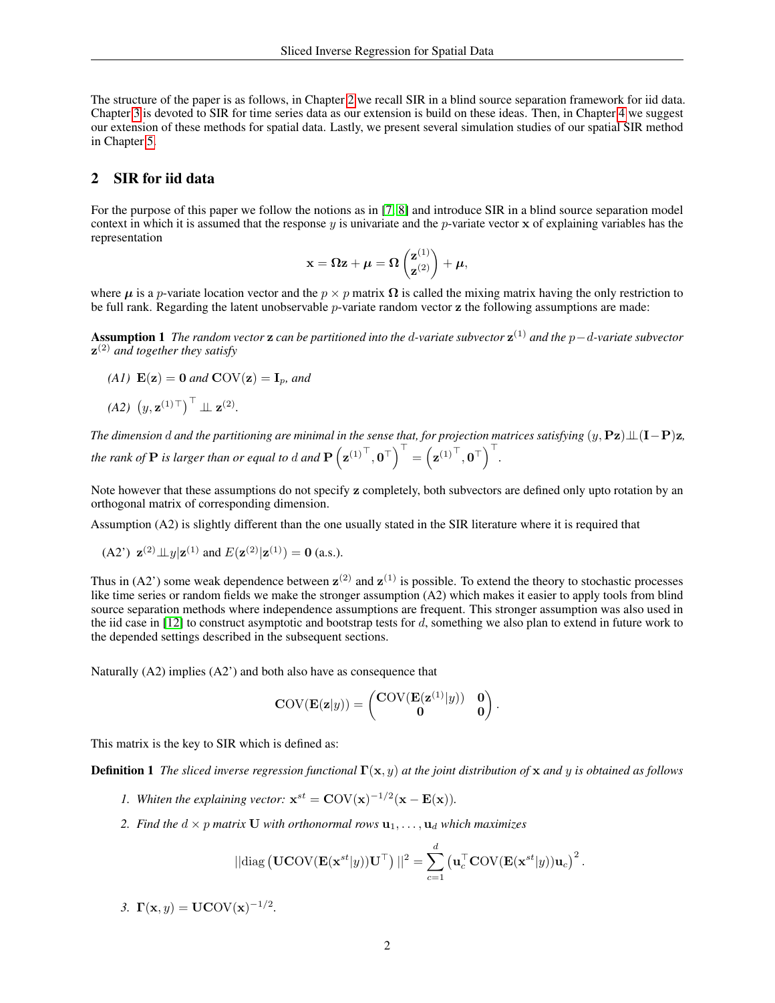The structure of the paper is as follows, in Chapter [2](#page-1-0) we recall SIR in a blind source separation framework for iid data. Chapter [3](#page-2-0) is devoted to SIR for time series data as our extension is build on these ideas. Then, in Chapter [4](#page-3-0) we suggest our extension of these methods for spatial data. Lastly, we present several simulation studies of our spatial SIR method in Chapter [5.](#page-5-0)

## <span id="page-1-0"></span>2 SIR for iid data

For the purpose of this paper we follow the notions as in [\[7,](#page-14-6) [8\]](#page-14-7) and introduce SIR in a blind source separation model context in which it is assumed that the response  $y$  is univariate and the p-variate vector  $x$  of explaining variables has the representation

$$
\mathbf{x} = \Omega \mathbf{z} + \boldsymbol{\mu} = \Omega \begin{pmatrix} \mathbf{z}^{(1)} \\ \mathbf{z}^{(2)} \end{pmatrix} + \boldsymbol{\mu},
$$

where  $\mu$  is a p-variate location vector and the  $p \times p$  matrix  $\Omega$  is called the mixing matrix having the only restriction to be full rank. Regarding the latent unobservable *p*-variate random vector **z** the following assumptions are made:

Assumption 1 *The random vector* z *can be partitioned into the* d*-variate subvector* z (1) *and the* p−d*-variate subvector* z (2) *and together they satisfy*

- *(A1)*  $E(z) = 0$  *and*  $COV(z) = I_p$ *, and*
- $(A2)$   $(y, z^{(1)}\top)$ <sup>T</sup>  $\perp \!\!\! \perp z^{(2)}$ .

*The dimension* d and the partitioning are minimal in the sense that, for projection matrices satisfying  $(y, Pz) \perp (I-P)z$ , *the rank of*  $P$  *is larger than or equal to*  $d$  *and*  $P\left(\mathbf{z}^{(1)^\top}, \mathbf{0}^\top\right)^\top = \left(\mathbf{z}^{(1)^\top}, \mathbf{0}^\top\right)^\top$ .

Note however that these assumptions do not specify z completely, both subvectors are defined only upto rotation by an orthogonal matrix of corresponding dimension.

Assumption (A2) is slightly different than the one usually stated in the SIR literature where it is required that

(A2') 
$$
\mathbf{z}^{(2)} \perp \perp y | \mathbf{z}^{(1)}
$$
 and  $E(\mathbf{z}^{(2)} | \mathbf{z}^{(1)}) = \mathbf{0}$  (a.s.).

Thus in (A2') some weak dependence between  $z^{(2)}$  and  $z^{(1)}$  is possible. To extend the theory to stochastic processes like time series or random fields we make the stronger assumption (A2) which makes it easier to apply tools from blind source separation methods where independence assumptions are frequent. This stronger assumption was also used in the iid case in  $[12]$  to construct asymptotic and bootstrap tests for  $d$ , something we also plan to extend in future work to the depended settings described in the subsequent sections.

Naturally (A2) implies (A2') and both also have as consequence that

<span id="page-1-1"></span>
$$
COV(\mathbf{E}(\mathbf{z}|y)) = \begin{pmatrix} \mathbf{COV}(\mathbf{E}(\mathbf{z}^{(1)}|y)) & \mathbf{0} \\ \mathbf{0} & \mathbf{0} \end{pmatrix}.
$$

This matrix is the key to SIR which is defined as:

Definition 1 *The sliced inverse regression functional* Γ(x, y) *at the joint distribution of* x *and* y *is obtained as follows*

- *1.* Whiten the explaining vector:  $\mathbf{x}^{st} = \mathbf{COV}(\mathbf{x})^{-1/2}(\mathbf{x} \mathbf{E}(\mathbf{x}))$ .
- *2. Find the*  $d \times p$  *matrix* **U** *with orthonormal rows*  $\mathbf{u}_1, \ldots, \mathbf{u}_d$  *which maximizes*

$$
\|\text{diag}\left(\mathbf{UCOV}(\mathbf{E}(\mathbf{x}^{st}|y))\mathbf{U}^{\top}\right)\|^2 = \sum_{c=1}^d \left(\mathbf{u}_c^{\top} \mathbf{COV}(\mathbf{E}(\mathbf{x}^{st}|y))\mathbf{u}_c\right)^2.
$$

3.  $\Gamma(x, y) = UCOV(x)^{-1/2}$ .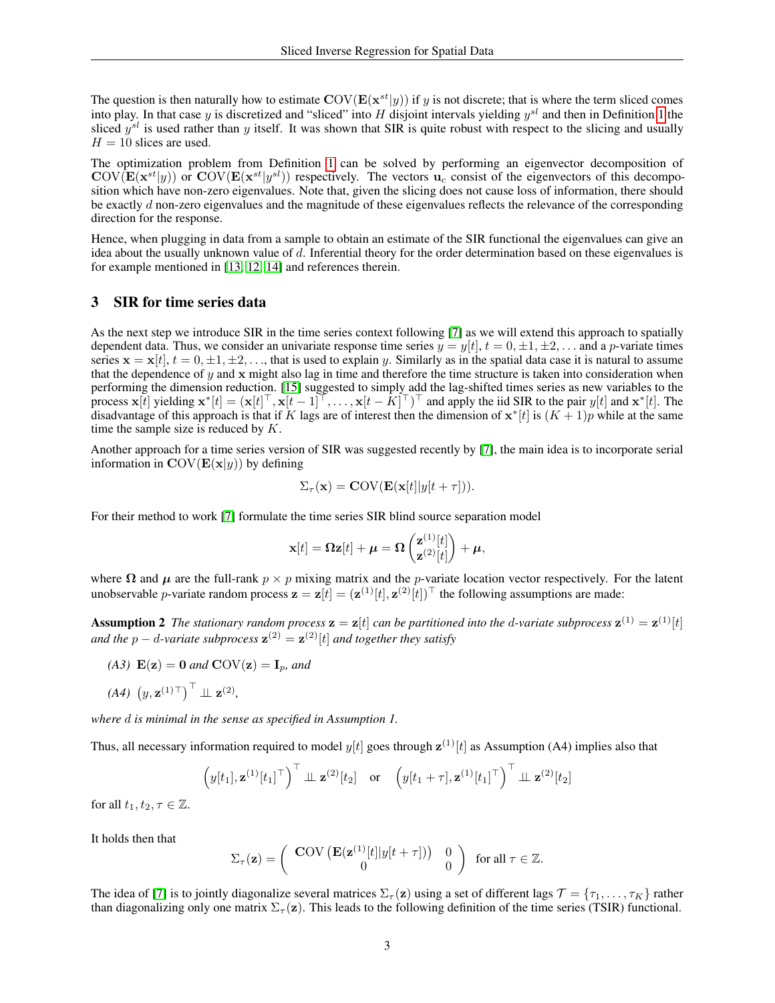The question is then naturally how to estimate  $\text{COV}(\mathbf{E}(\mathbf{x}^{st}|y))$  if y is not discrete; that is where the term sliced comes into play. In that case y is discretized and "sliced" into H disjoint intervals yielding  $y^{sl}$  and then in Definition [1](#page-1-1) the sliced  $y^{sl}$  is used rather than y itself. It was shown that SIR is quite robust with respect to the slicing and usually  $H = 10$  slices are used.

The optimization problem from Definition [1](#page-1-1) can be solved by performing an eigenvector decomposition of  $\text{COV}(\mathbf{E}(\mathbf{x}^{st}|y))$  or  $\text{COV}(\mathbf{E}(\mathbf{x}^{st}|y^{sl}))$  respectively. The vectors  $\mathbf{u}_c$  consist of the eigenvectors of this decomposition which have non-zero eigenvalues. Note that, given the slicing does not cause loss of information, there should be exactly d non-zero eigenvalues and the magnitude of these eigenvalues reflects the relevance of the corresponding direction for the response.

Hence, when plugging in data from a sample to obtain an estimate of the SIR functional the eigenvalues can give an idea about the usually unknown value of d. Inferential theory for the order determination based on these eigenvalues is for example mentioned in [\[13,](#page-14-12) [12,](#page-14-11) [14\]](#page-14-13) and references therein.

# <span id="page-2-0"></span>3 SIR for time series data

As the next step we introduce SIR in the time series context following [\[7\]](#page-14-6) as we will extend this approach to spatially dependent data. Thus, we consider an univariate response time series  $y = y[t], t = 0, \pm 1, \pm 2, \ldots$  and a p-variate times series  $\mathbf{x} = \mathbf{x}[t], t = 0, \pm 1, \pm 2, \dots$ , that is used to explain y. Similarly as in the spatial data case it is natural to assume that the dependence of y and x might also lag in time and therefore the time structure is taken into consideration when performing the dimension reduction. [\[15\]](#page-14-14) suggested to simply add the lag-shifted times series as new variables to the process  $\mathbf{x}[t]$  yielding  $\mathbf{x}^*[t] = (\mathbf{x}[t]^\top, \mathbf{x}[t-1]^\top, \dots, \mathbf{x}[t-k]^\top)^\top$  and apply the iid SIR to the pair  $y[t]$  and  $\mathbf{x}^*[t]$ . The disadvantage of this approach is that if K lags are of interest then the dimension of  $x^*[t]$  is  $(K+1)p$  while at the same time the sample size is reduced by  $K$ .

Another approach for a time series version of SIR was suggested recently by [\[7\]](#page-14-6), the main idea is to incorporate serial information in  $\text{COV}(\mathbf{E}(\mathbf{x}|y))$  by defining

$$
\Sigma_{\tau}(\mathbf{x}) = \mathbf{COV}(\mathbf{E}(\mathbf{x}[t]|y[t+\tau])).
$$

For their method to work [\[7\]](#page-14-6) formulate the time series SIR blind source separation model

$$
\mathbf{x}[t] = \mathbf{\Omega} \mathbf{z}[t] + \boldsymbol{\mu} = \mathbf{\Omega} \begin{pmatrix} \mathbf{z}^{(1)}[t] \\ \mathbf{z}^{(2)}[t] \end{pmatrix} + \boldsymbol{\mu},
$$

where  $\Omega$  and  $\mu$  are the full-rank  $p \times p$  mixing matrix and the p-variate location vector respectively. For the latent unobservable *p*-variate random process  $\mathbf{z} = \mathbf{z}[t] = (\mathbf{z}^{(1)}[t], \mathbf{z}^{(2)}[t])^\top$  the following assumptions are made:

**Assumption 2** The stationary random process  $\mathbf{z} = \mathbf{z}[t]$  can be partitioned into the d-variate subprocess  $\mathbf{z}^{(1)} = \mathbf{z}^{(1)}[t]$ and the  $p - d$ -variate subprocess  $\mathbf{z}^{(2)} = \mathbf{z}^{(2)}[t]$  and together they satisfy

$$
(A3) \mathbf{E}(\mathbf{z}) = \mathbf{0} \text{ and } \mathbf{COV}(\mathbf{z}) = \mathbf{I}_p \text{, and}
$$

$$
(A4) (y, \mathbf{z}^{(1)}^{\top})^{\top} \perp \mathbf{z}^{(2)},
$$

*where* d *is minimal in the sense as specified in Assumption 1.*

Thus, all necessary information required to model  $y[t]$  goes through  $\mathbf{z}^{(1)}[t]$  as Assumption (A4) implies also that

$$
\left(y[t_1],\mathbf{z}^{(1)}[t_1]^{\top}\right)^{\top} \perp \mathbf{z}^{(2)}[t_2] \quad \text{or} \quad \left(y[t_1+\tau],\mathbf{z}^{(1)}[t_1]^{\top}\right)^{\top} \perp \mathbf{z}^{(2)}[t_2]
$$

for all  $t_1, t_2, \tau \in \mathbb{Z}$ .

It holds then that

$$
\Sigma_{\tau}(\mathbf{z}) = \left( \begin{array}{cc} \mathbf{COV} \left( \mathbf{E}(\mathbf{z}^{(1)}[t]|y[t+\tau]) \right) & 0 \\ 0 & 0 \end{array} \right) \text{ for all } \tau \in \mathbb{Z}.
$$

The idea of [\[7\]](#page-14-6) is to jointly diagonalize several matrices  $\Sigma_{\tau}(z)$  using a set of different lags  $\mathcal{T} = \{\tau_1, \ldots, \tau_K\}$  rather than diagonalizing only one matrix  $\Sigma_{\tau}(z)$ . This leads to the following definition of the time series (TSIR) functional.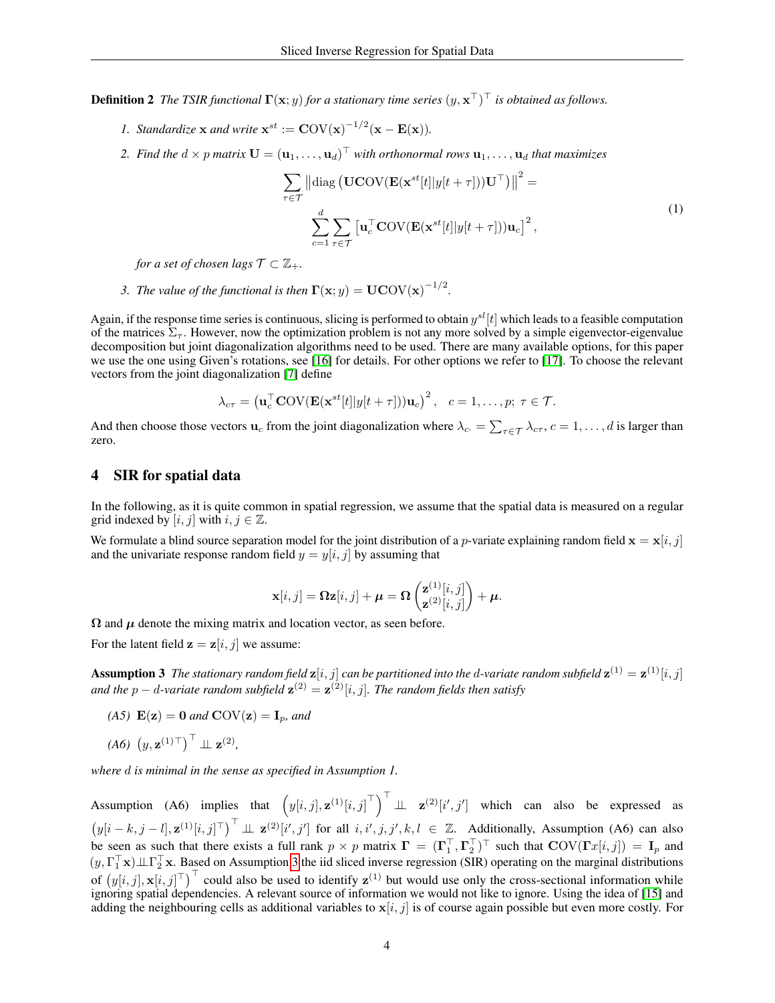**Definition 2** The TSIR functional  $\Gamma(x; y)$  for a stationary time series  $(y, x^{\top})^{\top}$  is obtained as follows.

- *1. Standardize* **x** *and write*  $\mathbf{x}^{st} := \mathbf{COV}(\mathbf{x})^{-1/2}(\mathbf{x} \mathbf{E}(\mathbf{x})).$
- 2. Find the  $d \times p$  matrix  $\mathbf{U} = (\mathbf{u}_1, \dots, \mathbf{u}_d)^\top$  with orthonormal rows  $\mathbf{u}_1, \dots, \mathbf{u}_d$  that maximizes

$$
\sum_{\tau \in \mathcal{T}} \left\| \text{diag}\left(\mathbf{UCOV}(\mathbf{E}(\mathbf{x}^{st}[t]|y[t+\tau]))\mathbf{U}^{\top}\right) \right\|^{2} =
$$
\n
$$
\sum_{c=1}^{d} \sum_{\tau \in \mathcal{T}} \left[ \mathbf{u}_{c}^{\top} \mathbf{COV}(\mathbf{E}(\mathbf{x}^{st}[t]|y[t+\tau]))\mathbf{u}_{c} \right]^{2},
$$
\n(1)

*for a set of chosen lags*  $\mathcal{T} \subset \mathbb{Z}_+$ *.* 

*3. The value of the functional is then*  $\Gamma(x; y) = UCOV(x)^{-1/2}$ .

Again, if the response time series is continuous, slicing is performed to obtain  $y^{sl}[t]$  which leads to a feasible computation of the matrices  $\Sigma_{\tau}$ . However, now the optimization problem is not any more solved by a simple eigenvector-eigenvalue decomposition but joint diagonalization algorithms need to be used. There are many available options, for this paper we use the one using Given's rotations, see [\[16\]](#page-14-15) for details. For other options we refer to [\[17\]](#page-14-16). To choose the relevant vectors from the joint diagonalization [\[7\]](#page-14-6) define

$$
\lambda_{c\tau} = \left(\mathbf{u}_c^{\top} \mathbf{COV}(\mathbf{E}(\mathbf{x}^{st}[t]|y[t+\tau]))\mathbf{u}_c\right)^2, \quad c = 1, \ldots, p; \ \tau \in \mathcal{T}.
$$

And then choose those vectors  $\mathbf{u}_c$  from the joint diagonalization where  $\lambda_c = \sum_{\tau \in \mathcal{T}} \lambda_{c\tau}$ ,  $c = 1, \dots, d$  is larger than zero.

#### <span id="page-3-0"></span>4 SIR for spatial data

In the following, as it is quite common in spatial regression, we assume that the spatial data is measured on a regular grid indexed by  $[i, j]$  with  $i, j \in \mathbb{Z}$ .

We formulate a blind source separation model for the joint distribution of a *p*-variate explaining random field  $\mathbf{x} = \mathbf{x}[i, j]$ and the univariate response random field  $y = y[i, j]$  by assuming that

$$
\mathbf{x}[i,j] = \mathbf{\Omega} \mathbf{z}[i,j] + \boldsymbol{\mu} = \mathbf{\Omega} \begin{pmatrix} \mathbf{z}^{(1)}[i,j] \\ \mathbf{z}^{(2)}[i,j] \end{pmatrix} + \boldsymbol{\mu}.
$$

 $\Omega$  and  $\mu$  denote the mixing matrix and location vector, as seen before.

<span id="page-3-1"></span>For the latent field  $z = z[i, j]$  we assume:

**Assumption 3** The stationary random field  $z[i, j]$  can be partitioned into the d-variate random subfield  $z^{(1)} = z^{(1)}[i, j]$ and the  $p - d$ -variate random subfield  $\mathbf{z}^{(2)} = \mathbf{z}^{(2)}[i, j]$ . The random fields then satisfy

*(A5)*  $\mathbf{E}(\mathbf{z}) = \mathbf{0}$  *and*  $\mathbf{COV}(\mathbf{z}) = \mathbf{I}_p$ *, and* 

$$
(A6) (y, \mathbf{z}^{(1)}^{\top})^{\top} \perp \mathbf{z}^{(2)},
$$

*where* d *is minimal in the sense as specified in Assumption 1.*

Assumption (A6) implies that  $(y[i, j], \mathbf{z}^{(1)}[i, j]^{\top})^{\top} \perp \perp \mathbf{z}^{(2)}[i', j']$  which can also be expressed as  $(y[i-k, j-l], \mathbf{z}^{(1)}[i,j]^{\top} \perp \perp \mathbf{z}^{(2)}[i', j']$  for all  $i, i', j, j', k, l \in \mathbb{Z}$ . Additionally, Assumption (A6) can also be seen as such that there exists a full rank  $p \times p$  matrix  $\mathbf{\Gamma} = (\mathbf{\Gamma}_1^{\top}, \mathbf{\Gamma}_2^{\top})^{\top}$  such that  $\text{COV}(\mathbf{\Gamma}x[i, j]) = \mathbf{I}_p$  and  $(y, \Gamma_1^\top x) \perp \perp \Gamma_2^\top x$ . Based on Assumption [3](#page-3-1) the iid sliced inverse regression (SIR) operating on the marginal distributions of  $(y[i, j], \mathbf{x}[i, j]^\top)^\top$  could also be used to identify  $\mathbf{z}^{(1)}$  but would use only the cross-sectional information while ignoring spatial dependencies. A relevant source of information we would not like to ignore. Using the idea of [\[15\]](#page-14-14) and adding the neighbouring cells as additional variables to  $x[i, j]$  is of course again possible but even more costly. For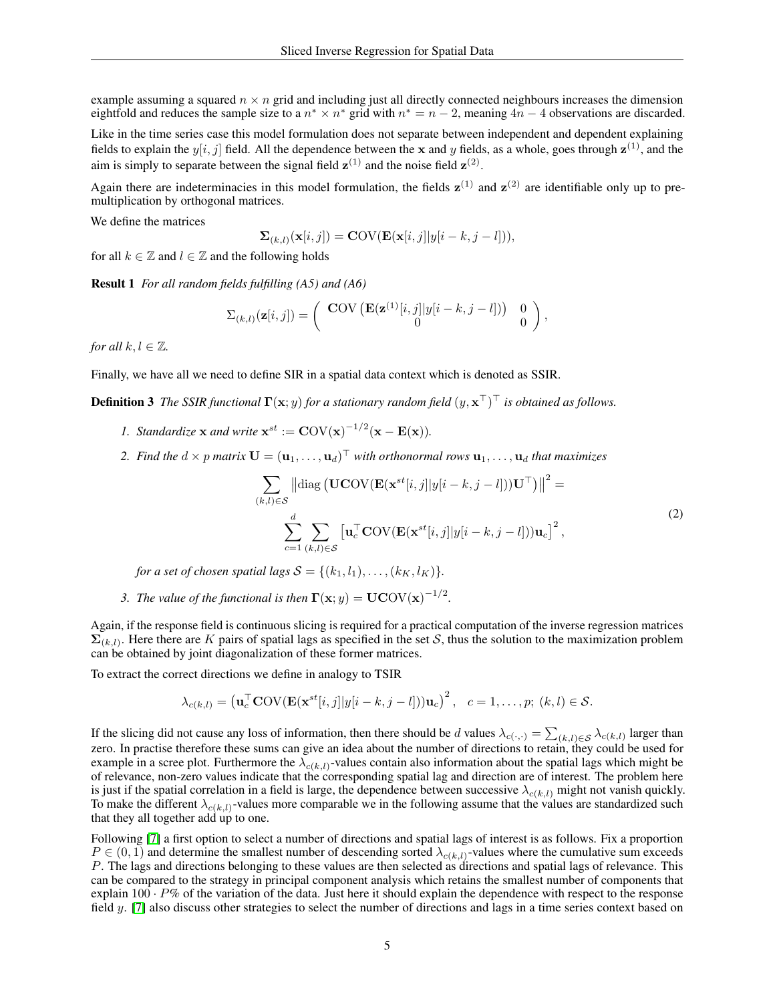example assuming a squared  $n \times n$  grid and including just all directly connected neighbours increases the dimension eightfold and reduces the sample size to a  $n^* \times n^*$  grid with  $n^* = n - 2$ , meaning  $4n - 4$  observations are discarded.

Like in the time series case this model formulation does not separate between independent and dependent explaining fields to explain the  $y[i, j]$  field. All the dependence between the x and y fields, as a whole, goes through  $z^{(1)}$ , and the aim is simply to separate between the signal field  $z^{(1)}$  and the noise field  $z^{(2)}$ .

Again there are indeterminacies in this model formulation, the fields  $z^{(1)}$  and  $z^{(2)}$  are identifiable only up to premultiplication by orthogonal matrices.

We define the matrices

$$
\mathbf{\Sigma}_{(k,l)}(\mathbf{x}[i,j]) = \mathbf{COV}(\mathbf{E}(\mathbf{x}[i,j]|y[i-k,j-l])),
$$

for all  $k \in \mathbb{Z}$  and  $l \in \mathbb{Z}$  and the following holds

Result 1 *For all random fields fulfilling (A5) and (A6)*

$$
\Sigma_{(k,l)}(\mathbf{z}[i,j]) = \begin{pmatrix} \textbf{COV} \left( \mathbf{E}(\mathbf{z}^{(1)}[i,j]|y[i-k,j-l]) \right) & 0\\ 0 & 0 \end{pmatrix},
$$

*for all*  $k, l \in \mathbb{Z}$ *.* 

Finally, we have all we need to define SIR in a spatial data context which is denoted as SSIR.

**Definition 3** The SSIR functional  $\Gamma(x; y)$  for a stationary random field  $(y, x^{\top})^{\top}$  is obtained as follows.

- *1. Standardize* **x** *and write*  $\mathbf{x}^{st} := \mathbf{COV}(\mathbf{x})^{-1/2}(\mathbf{x} \mathbf{E}(\mathbf{x})).$
- 2. Find the  $d \times p$  matrix  $\mathbf{U} = (\mathbf{u}_1, \dots, \mathbf{u}_d)^\top$  with orthonormal rows  $\mathbf{u}_1, \dots, \mathbf{u}_d$  that maximizes

$$
\sum_{(k,l)\in\mathcal{S}} \left\| \text{diag}\left(\mathbf{U}\mathbf{COV}(\mathbf{E}(\mathbf{x}^{st}[i,j]|y[i-k,j-l]))\mathbf{U}^{\top}\right) \right\|^2 =
$$
\n
$$
\sum_{c=1}^d \sum_{(k,l)\in\mathcal{S}} \left[ \mathbf{u}_c^{\top} \mathbf{COV}(\mathbf{E}(\mathbf{x}^{st}[i,j]|y[i-k,j-l]))\mathbf{u}_c \right]^2,
$$
\n(2)

*for a set of chosen spatial lags*  $S = \{(k_1, l_1), \ldots, (k_K, l_K)\}.$ 

*3. The value of the functional is then*  $\Gamma(\mathbf{x}; y) = \mathbf{U}\mathbf{COV}(\mathbf{x})^{-1/2}$ .

Again, if the response field is continuous slicing is required for a practical computation of the inverse regression matrices  $\Sigma_{(k,l)}$ . Here there are K pairs of spatial lags as specified in the set S, thus the solution to the maximization problem can be obtained by joint diagonalization of these former matrices.

To extract the correct directions we define in analogy to TSIR

$$
\lambda_{c(k,l)} = \left(\mathbf{u}_c^{\top} \mathbf{COV}(\mathbf{E}(\mathbf{x}^{st}[i,j]|y[i-k,j-l]))\mathbf{u}_c\right)^2, \quad c = 1,\ldots,p; \ (k,l) \in \mathcal{S}.
$$

If the slicing did not cause any loss of information, then there should be d values  $\lambda_{c(\cdot,\cdot)} = \sum_{(k,l) \in S} \lambda_{c(k,l)}$  larger than zero. In practise therefore these sums can give an idea about the number of directions to retain, they could be used for example in a scree plot. Furthermore the  $\lambda_{c(k,l)}$ -values contain also information about the spatial lags which might be of relevance, non-zero values indicate that the corresponding spatial lag and direction are of interest. The problem here is just if the spatial correlation in a field is large, the dependence between successive  $\lambda_{c(k,l)}$  might not vanish quickly. To make the different  $\lambda_{c(k,l)}$ -values more comparable we in the following assume that the values are standardized such that they all together add up to one.

Following [\[7\]](#page-14-6) a first option to select a number of directions and spatial lags of interest is as follows. Fix a proportion  $P \in (0, 1)$  and determine the smallest number of descending sorted  $\lambda_{c(k,l)}$ -values where the cumulative sum exceeds P. The lags and directions belonging to these values are then selected as directions and spatial lags of relevance. This can be compared to the strategy in principal component analysis which retains the smallest number of components that explain  $100 \cdot P\%$  of the variation of the data. Just here it should explain the dependence with respect to the response field  $y$ . [\[7\]](#page-14-6) also discuss other strategies to select the number of directions and lags in a time series context based on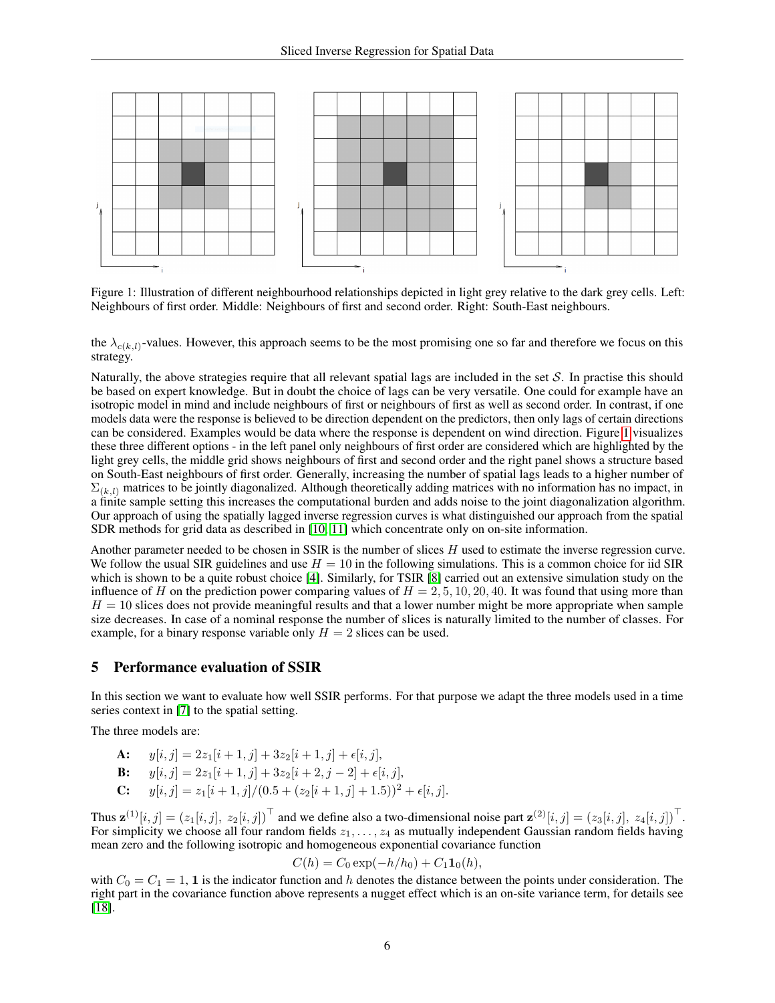

<span id="page-5-1"></span>Figure 1: Illustration of different neighbourhood relationships depicted in light grey relative to the dark grey cells. Left: Neighbours of first order. Middle: Neighbours of first and second order. Right: South-East neighbours.

the  $\lambda_{c(k,l)}$ -values. However, this approach seems to be the most promising one so far and therefore we focus on this strategy.

Naturally, the above strategies require that all relevant spatial lags are included in the set  $S$ . In practise this should be based on expert knowledge. But in doubt the choice of lags can be very versatile. One could for example have an isotropic model in mind and include neighbours of first or neighbours of first as well as second order. In contrast, if one models data were the response is believed to be direction dependent on the predictors, then only lags of certain directions can be considered. Examples would be data where the response is dependent on wind direction. Figure [1](#page-5-1) visualizes these three different options - in the left panel only neighbours of first order are considered which are highlighted by the light grey cells, the middle grid shows neighbours of first and second order and the right panel shows a structure based on South-East neighbours of first order. Generally, increasing the number of spatial lags leads to a higher number of  $\Sigma_{(k,l)}$  matrices to be jointly diagonalized. Although theoretically adding matrices with no information has no impact, in a finite sample setting this increases the computational burden and adds noise to the joint diagonalization algorithm. Our approach of using the spatially lagged inverse regression curves is what distinguished our approach from the spatial SDR methods for grid data as described in [\[10,](#page-14-9) [11\]](#page-14-10) which concentrate only on on-site information.

Another parameter needed to be chosen in SSIR is the number of slices  $H$  used to estimate the inverse regression curve. We follow the usual SIR guidelines and use  $H = 10$  in the following simulations. This is a common choice for iid SIR which is shown to be a quite robust choice [\[4\]](#page-14-3). Similarly, for TSIR [\[8\]](#page-14-7) carried out an extensive simulation study on the influence of H on the prediction power comparing values of  $H = 2, 5, 10, 20, 40$ . It was found that using more than  $H = 10$  slices does not provide meaningful results and that a lower number might be more appropriate when sample size decreases. In case of a nominal response the number of slices is naturally limited to the number of classes. For example, for a binary response variable only  $H = 2$  slices can be used.

## <span id="page-5-0"></span>5 Performance evaluation of SSIR

In this section we want to evaluate how well SSIR performs. For that purpose we adapt the three models used in a time series context in [\[7\]](#page-14-6) to the spatial setting.

The three models are:

- **A:**  $y[i, j] = 2z_1[i + 1, j] + 3z_2[i + 1, j] + \epsilon[i, j],$
- **B:**  $y[i, j] = 2z_1[i + 1, j] + 3z_2[i + 2, j 2] + \epsilon[i, j],$
- **C:**  $y[i, j] = z_1[i+1, j]/(0.5 + (z_2[i+1, j] + 1.5))^2 + \epsilon[i, j].$

Thus  $\mathbf{z}^{(1)}[i,j] = (z_1[i,j], z_2[i,j])^\top$  and we define also a two-dimensional noise part  $\mathbf{z}^{(2)}[i,j] = (z_3[i,j], z_4[i,j])^\top$ . For simplicity we choose all four random fields  $z_1, \ldots, z_4$  as mutually independent Gaussian random fields having mean zero and the following isotropic and homogeneous exponential covariance function

$$
C(h) = C_0 \exp(-h/h_0) + C_1 \mathbf{1}_0(h),
$$

with  $C_0 = C_1 = 1$ , 1 is the indicator function and h denotes the distance between the points under consideration. The right part in the covariance function above represents a nugget effect which is an on-site variance term, for details see [\[18\]](#page-14-17).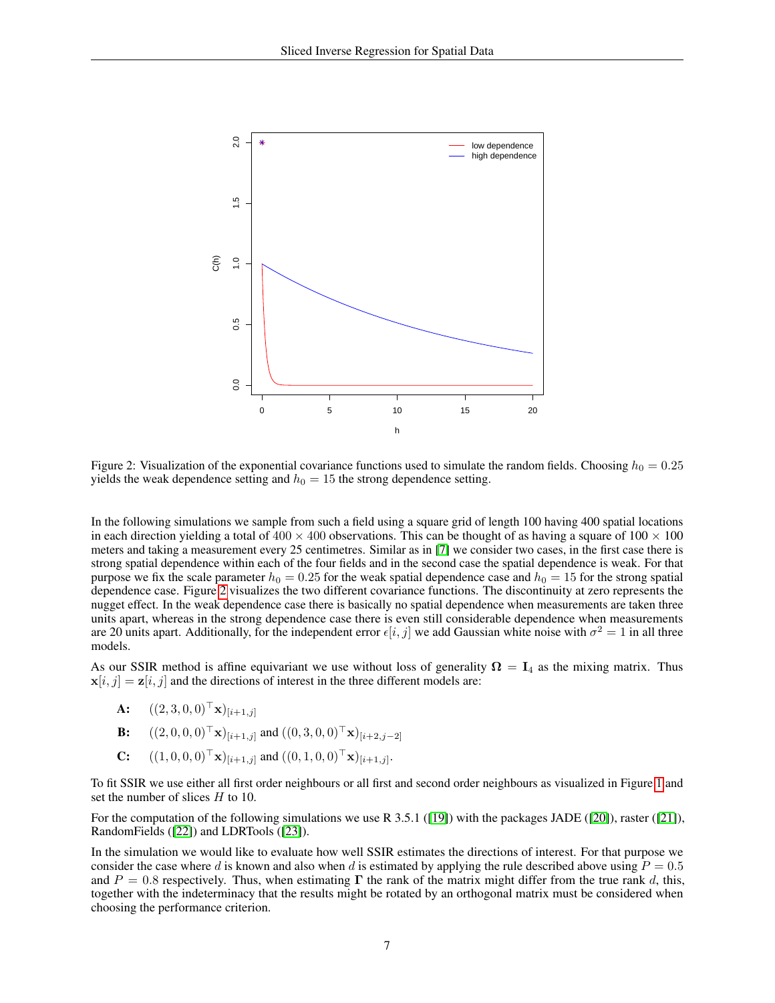

<span id="page-6-0"></span>Figure 2: Visualization of the exponential covariance functions used to simulate the random fields. Choosing  $h_0 = 0.25$ yields the weak dependence setting and  $h_0 = 15$  the strong dependence setting.

In the following simulations we sample from such a field using a square grid of length 100 having 400 spatial locations in each direction yielding a total of  $400 \times 400$  observations. This can be thought of as having a square of  $100 \times 100$ meters and taking a measurement every 25 centimetres. Similar as in [\[7\]](#page-14-6) we consider two cases, in the first case there is strong spatial dependence within each of the four fields and in the second case the spatial dependence is weak. For that purpose we fix the scale parameter  $h_0 = 0.25$  for the weak spatial dependence case and  $h_0 = 15$  for the strong spatial dependence case. Figure [2](#page-6-0) visualizes the two different covariance functions. The discontinuity at zero represents the nugget effect. In the weak dependence case there is basically no spatial dependence when measurements are taken three units apart, whereas in the strong dependence case there is even still considerable dependence when measurements are 20 units apart. Additionally, for the independent error  $\epsilon[i, j]$  we add Gaussian white noise with  $\sigma^2 = 1$  in all three models.

As our SSIR method is affine equivariant we use without loss of generality  $\Omega = I_4$  as the mixing matrix. Thus  $x[i, j] = z[i, j]$  and the directions of interest in the three different models are:

- **A:**  $((2, 3, 0, 0)^{\top} \mathbf{x})_{[i+1,j]}$
- **B:**  $((2, 0, 0, 0)^{\top} \mathbf{x})_{[i+1, j]}$  and  $((0, 3, 0, 0)^{\top} \mathbf{x})_{[i+2, j-2]}$
- **C:**  $((1, 0, 0, 0)^{\top} \mathbf{x})_{[i+1,j]}$  and  $((0, 1, 0, 0)^{\top} \mathbf{x})_{[i+1,j]}.$

To fit SSIR we use either all first order neighbours or all first and second order neighbours as visualized in Figure [1](#page-5-1) and set the number of slices H to 10.

For the computation of the following simulations we use R 3.5.1 ([\[19\]](#page-14-18)) with the packages JADE ([\[20\]](#page-14-19)), raster ([\[21\]](#page-14-20)), RandomFields ([\[22\]](#page-14-21)) and LDRTools ([\[23\]](#page-14-22)).

In the simulation we would like to evaluate how well SSIR estimates the directions of interest. For that purpose we consider the case where d is known and also when d is estimated by applying the rule described above using  $P = 0.5$ and  $P = 0.8$  respectively. Thus, when estimating  $\Gamma$  the rank of the matrix might differ from the true rank d, this, together with the indeterminacy that the results might be rotated by an orthogonal matrix must be considered when choosing the performance criterion.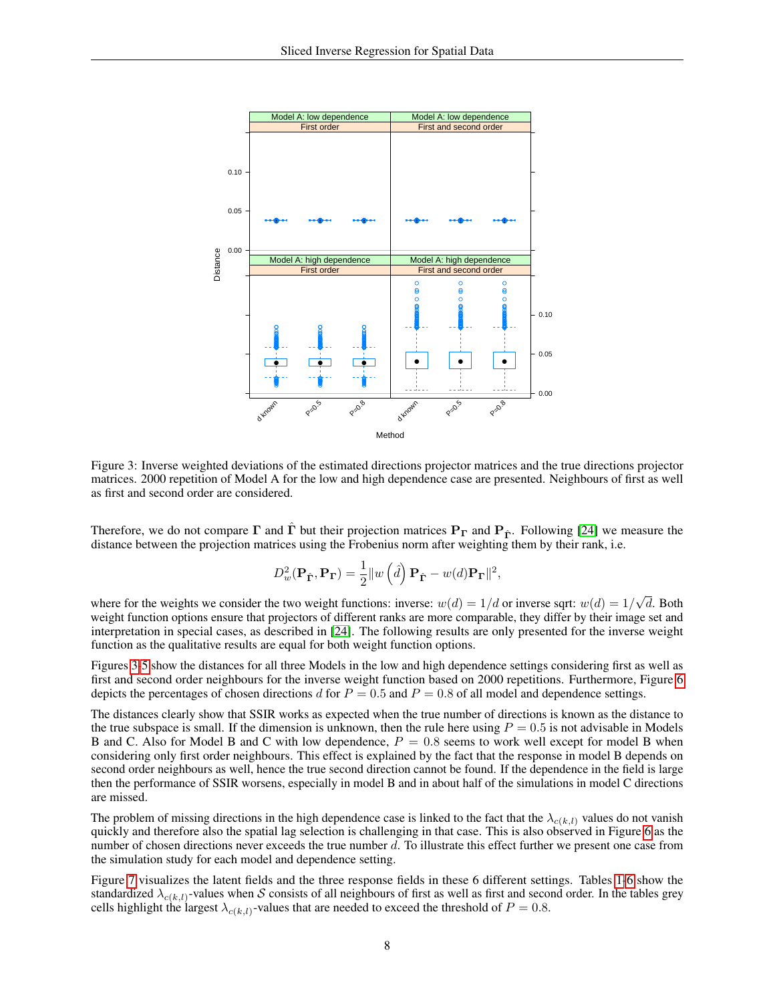

<span id="page-7-0"></span>Figure 3: Inverse weighted deviations of the estimated directions projector matrices and the true directions projector matrices. 2000 repetition of Model A for the low and high dependence case are presented. Neighbours of first as well as first and second order are considered.

Therefore, we do not compare  $\Gamma$  and  $\Gamma$  but their projection matrices  $P_{\Gamma}$  and  $P_{\hat{\Gamma}}$ . Following [\[24\]](#page-14-23) we measure the distance between the projection matrices using the Frobenius norm after weighting them by their rank, i.e.

$$
D_w^2(\mathbf{P}_{\hat{\mathbf{\Gamma}}}, \mathbf{P}_{\mathbf{\Gamma}}) = \frac{1}{2} ||w(\hat{d}) \mathbf{P}_{\hat{\mathbf{\Gamma}}} - w(d) \mathbf{P}_{\mathbf{\Gamma}}||^2,
$$

where for the weights we consider the two weight functions: inverse:  $w(d) = 1/d$  or inverse sqrt:  $w(d) = 1/d$ √ d. Both weight function options ensure that projectors of different ranks are more comparable, they differ by their image set and interpretation in special cases, as described in [\[24\]](#page-14-23). The following results are only presented for the inverse weight function as the qualitative results are equal for both weight function options.

Figures [3](#page-7-0)[-5](#page-9-0) show the distances for all three Models in the low and high dependence settings considering first as well as first and second order neighbours for the inverse weight function based on 2000 repetitions. Furthermore, Figure [6](#page-9-1) depicts the percentages of chosen directions d for  $P = 0.5$  and  $P = 0.8$  of all model and dependence settings.

The distances clearly show that SSIR works as expected when the true number of directions is known as the distance to the true subspace is small. If the dimension is unknown, then the rule here using  $P = 0.5$  is not advisable in Models B and C. Also for Model B and C with low dependence,  $P = 0.8$  seems to work well except for model B when considering only first order neighbours. This effect is explained by the fact that the response in model B depends on second order neighbours as well, hence the true second direction cannot be found. If the dependence in the field is large then the performance of SSIR worsens, especially in model B and in about half of the simulations in model C directions are missed.

The problem of missing directions in the high dependence case is linked to the fact that the  $\lambda_{c(k,l)}$  values do not vanish quickly and therefore also the spatial lag selection is challenging in that case. This is also observed in Figure [6](#page-9-1) as the number of chosen directions never exceeds the true number d. To illustrate this effect further we present one case from the simulation study for each model and dependence setting.

Figure [7](#page-10-0) visualizes the latent fields and the three response fields in these 6 different settings. Tables [1](#page-8-0)[-6](#page-13-0) show the standardized  $\lambda_{c(k,l)}$ -values when S consists of all neighbours of first as well as first and second order. In the tables grey cells highlight the largest  $\lambda_{c(k,l)}$ -values that are needed to exceed the threshold of  $P = 0.8$ .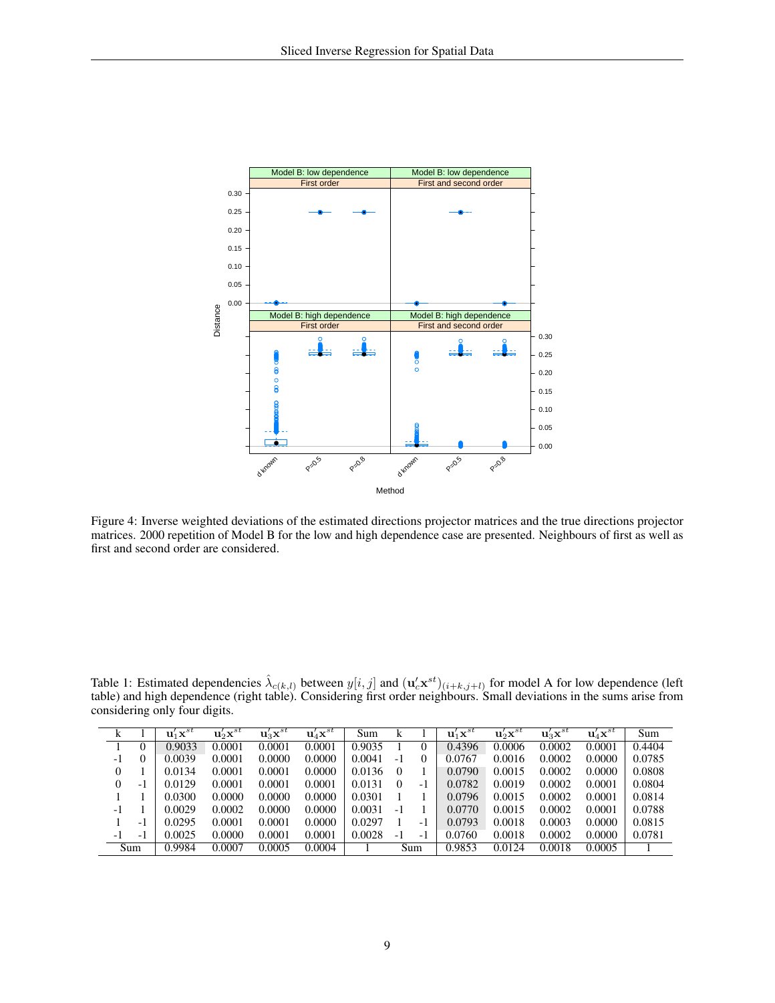

Figure 4: Inverse weighted deviations of the estimated directions projector matrices and the true directions projector matrices. 2000 repetition of Model B for the low and high dependence case are presented. Neighbours of first as well as first and second order are considered.

<span id="page-8-0"></span>Table 1: Estimated dependencies  $\hat{\lambda}_{c(k,l)}$  between  $y[i,j]$  and  $(\mathbf{u}_c^j \mathbf{x}^{st})_{(i+k,j+l)}$  for model A for low dependence (left table) and high dependence (right table). Considering first order neighbours. Small deviations in the sums arise from considering only four digits.

 $\overline{a}$ 

|    |          | $\mathbf{u}'_1\mathbf{x}^{st}$ | $\mathbf u_2' \mathbf x^{st}$ | $\mathbf{u}_3^{\prime} \mathbf{x}^{st}$ | $\mathbf{u}_4' \mathbf{x}^{st}$ | Sum    |          |                | $\mathbf{u}'_1\mathbf{x}^{st}$ | $\mathbf u_2' \mathbf x^{st}$ | $\mathbf{u}_3' \mathbf{x}^{st}$ | $\mathbf{u}'_4\mathbf{x}^{st}$ | Sum    |
|----|----------|--------------------------------|-------------------------------|-----------------------------------------|---------------------------------|--------|----------|----------------|--------------------------------|-------------------------------|---------------------------------|--------------------------------|--------|
|    |          | 0.9033                         | 0.0001                        | 0.0001                                  | 0.0001                          | 0.9035 |          | 0              | 0.4396                         | 0.0006                        | 0.0002                          | 0.0001                         | 0.4404 |
| -1 | $\theta$ | 0.0039                         | 0.0001                        | 0.0000                                  | 0.0000                          | 0.0041 | $-1$     | $_{0}$         | 0.0767                         | 0.0016                        | 0.0002                          | 0.0000                         | 0.0785 |
|    |          | 0.0134                         | 0.0001                        | 0.0001                                  | 0.0000                          | 0.0136 | $\Omega$ |                | 0.0790                         | 0.0015                        | 0.0002                          | 0.0000                         | 0.0808 |
|    | - 1      | 0.0129                         | 0.0001                        | 0.0001                                  | 0.0001                          | 0.0131 | $\theta$ | $-1$           | 0.0782                         | 0.0019                        | 0.0002                          | 0.0001                         | 0.0804 |
|    |          | 0.0300                         | 0.0000                        | 0.0000                                  | 0.0000                          | 0.0301 |          |                | 0.0796                         | 0.0015                        | 0.0002                          | 0.0001                         | 0.0814 |
| -1 |          | 0.0029                         | 0.0002                        | 0.0000                                  | 0.0000                          | 0.0031 | - 1      |                | 0.0770                         | 0.0015                        | 0.0002                          | 0.0001                         | 0.0788 |
|    | $-1$     | 0.0295                         | 0.0001                        | 0.0001                                  | 0.0000                          | 0.0297 |          | - 1            | 0.0793                         | 0.0018                        | 0.0003                          | 0.0000                         | 0.0815 |
| -1 | $-1$     | 0.0025                         | 0.0000                        | 0.0001                                  | 0.0001                          | 0.0028 | $-1$     | $\overline{a}$ | 0.0760                         | 0.0018                        | 0.0002                          | 0.0000                         | 0.0781 |
|    | Sum      | 0.9984                         | 0.0007                        | 0.0005                                  | 0.0004                          |        |          | Sum            | 0.9853                         | 0.0124                        | 0.0018                          | 0.0005                         |        |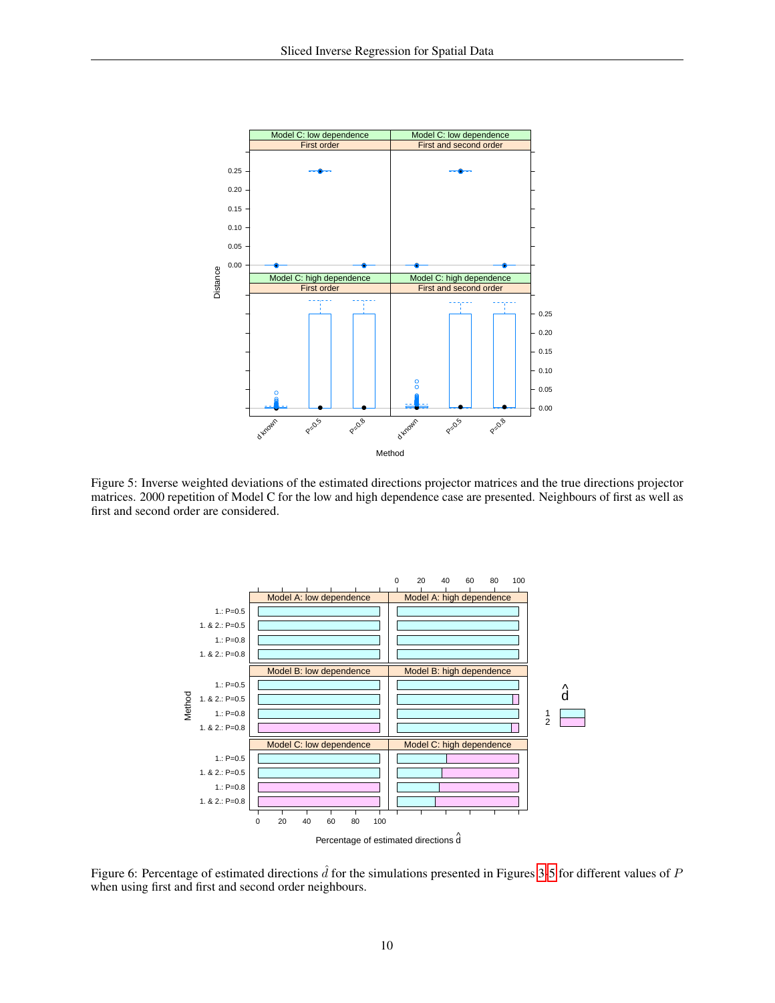

<span id="page-9-0"></span>Figure 5: Inverse weighted deviations of the estimated directions projector matrices and the true directions projector matrices. 2000 repetition of Model C for the low and high dependence case are presented. Neighbours of first as well as first and second order are considered.



<span id="page-9-1"></span>Figure 6: Percentage of estimated directions  $\hat{d}$  for the simulations presented in Figures [3](#page-7-0)[-5](#page-9-0) for different values of P when using first and first and second order neighbours.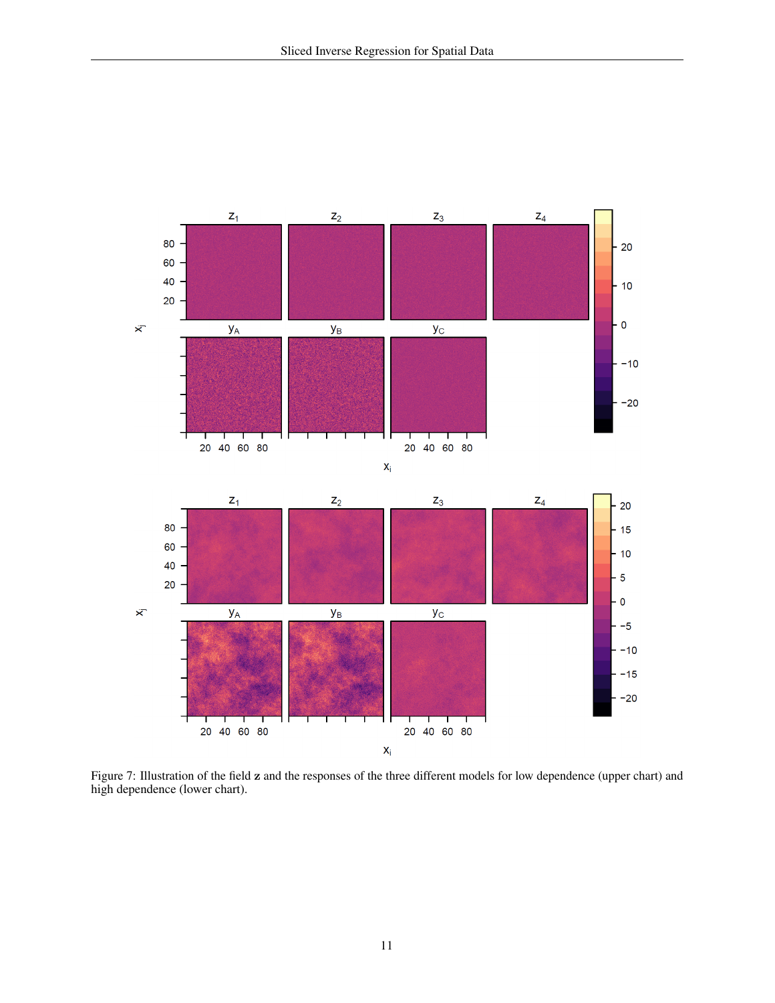

<span id="page-10-0"></span>Figure 7: Illustration of the field z and the responses of the three different models for low dependence (upper chart) and high dependence (lower chart).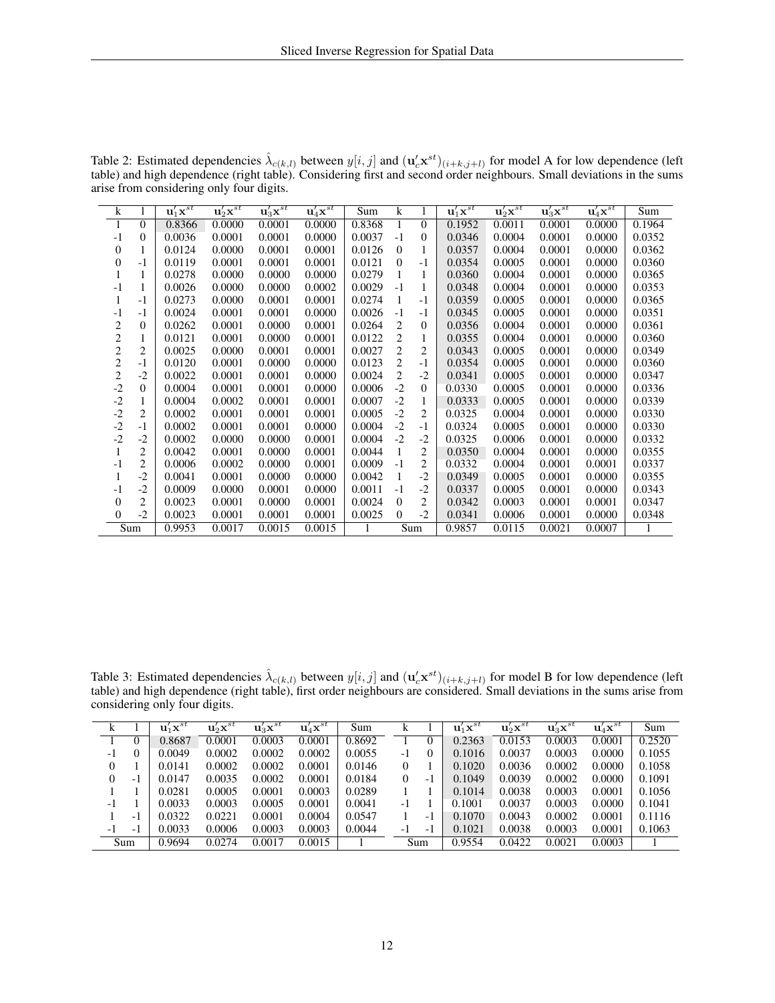| k              |                | $\mathbf{u}_1^{\prime} \mathbf{x}^{st}$ | $\mathbf u_2' \mathbf x^{st}$ | $\mathbf{u}_3' \mathbf{x}^{st}$ | $\mathbf{u}_4' \mathbf{x}^{st}$ | Sum    | k              |                | $\mathbf{u}_1^{\prime} \mathbf{x}^{st}$ | $\mathbf{u}_2' \mathbf{x}^{st}$ | $\mathbf{u}_3' \mathbf{x}^{st}$ | $\mathbf{u}_4' \overline{\mathbf{x}^{st}}$ | Sum    |
|----------------|----------------|-----------------------------------------|-------------------------------|---------------------------------|---------------------------------|--------|----------------|----------------|-----------------------------------------|---------------------------------|---------------------------------|--------------------------------------------|--------|
| 1              | $\theta$       | 0.8366                                  | 0.0000                        | 0.0001                          | 0.0000                          | 0.8368 | 1              | $\theta$       | 0.1952                                  | 0.0011                          | 0.0001                          | 0.0000                                     | 0.1964 |
| $-1$           | $\theta$       | 0.0036                                  | 0.0001                        | 0.0001                          | 0.0000                          | 0.0037 | $-1$           | $\overline{0}$ | 0.0346                                  | 0.0004                          | 0.0001                          | 0.0000                                     | 0.0352 |
| 0              | 1              | 0.0124                                  | 0.0000                        | 0.0001                          | 0.0001                          | 0.0126 | $\Omega$       | 1              | 0.0357                                  | 0.0004                          | 0.0001                          | 0.0000                                     | 0.0362 |
| $\Omega$       | $-1$           | 0.0119                                  | 0.0001                        | 0.0001                          | 0.0001                          | 0.0121 | $\Omega$       | $-1$           | 0.0354                                  | 0.0005                          | 0.0001                          | 0.0000                                     | 0.0360 |
|                | 1              | 0.0278                                  | 0.0000                        | 0.0000                          | 0.0000                          | 0.0279 | 1              | 1              | 0.0360                                  | 0.0004                          | 0.0001                          | 0.0000                                     | 0.0365 |
| $-1$           | 1              | 0.0026                                  | 0.0000                        | 0.0000                          | 0.0002                          | 0.0029 | $-1$           | $\mathbf{1}$   | 0.0348                                  | 0.0004                          | 0.0001                          | 0.0000                                     | 0.0353 |
|                | $-1$           | 0.0273                                  | 0.0000                        | 0.0001                          | 0.0001                          | 0.0274 | 1              | $-1$           | 0.0359                                  | 0.0005                          | 0.0001                          | 0.0000                                     | 0.0365 |
| $-1$           | $-1$           | 0.0024                                  | 0.0001                        | 0.0001                          | 0.0000                          | 0.0026 | $-1$           | $-1$           | 0.0345                                  | 0.0005                          | 0.0001                          | 0.0000                                     | 0.0351 |
| 2              | $\overline{0}$ | 0.0262                                  | 0.0001                        | 0.0000                          | 0.0001                          | 0.0264 | 2              | $\overline{0}$ | 0.0356                                  | 0.0004                          | 0.0001                          | 0.0000                                     | 0.0361 |
| $\overline{c}$ | 1              | 0.0121                                  | 0.0001                        | 0.0000                          | 0.0001                          | 0.0122 | 2              | 1              | 0.0355                                  | 0.0004                          | 0.0001                          | 0.0000                                     | 0.0360 |
| $\overline{c}$ | $\overline{2}$ | 0.0025                                  | 0.0000                        | 0.0001                          | 0.0001                          | 0.0027 | $\overline{2}$ | $\overline{2}$ | 0.0343                                  | 0.0005                          | 0.0001                          | 0.0000                                     | 0.0349 |
| $\overline{c}$ | $-1$           | 0.0120                                  | 0.0001                        | 0.0000                          | 0.0000                          | 0.0123 | 2              | $-1$           | 0.0354                                  | 0.0005                          | 0.0001                          | 0.0000                                     | 0.0360 |
| $\overline{c}$ | $-2$           | 0.0022                                  | 0.0001                        | 0.0001                          | 0.0000                          | 0.0024 | $\overline{2}$ | $-2$           | 0.0341                                  | 0.0005                          | 0.0001                          | 0.0000                                     | 0.0347 |
| $-2$           | $\overline{0}$ | 0.0004                                  | 0.0001                        | 0.0001                          | 0.0000                          | 0.0006 | $-2$           | $\overline{0}$ | 0.0330                                  | 0.0005                          | 0.0001                          | 0.0000                                     | 0.0336 |
| $-2$           | 1              | 0.0004                                  | 0.0002                        | 0.0001                          | 0.0001                          | 0.0007 | $-2$           | 1              | 0.0333                                  | 0.0005                          | 0.0001                          | 0.0000                                     | 0.0339 |
| $-2$           | $\overline{2}$ | 0.0002                                  | 0.0001                        | 0.0001                          | 0.0001                          | 0.0005 | $-2$           | 2              | 0.0325                                  | 0.0004                          | 0.0001                          | 0.0000                                     | 0.0330 |
| $-2$           | $-1$           | 0.0002                                  | 0.0001                        | 0.0001                          | 0.0000                          | 0.0004 | $-2$           | $-1$           | 0.0324                                  | 0.0005                          | 0.0001                          | 0.0000                                     | 0.0330 |
| $-2$           | $-2$           | 0.0002                                  | 0.0000                        | 0.0000                          | 0.0001                          | 0.0004 | $-2$           | $-2$           | 0.0325                                  | 0.0006                          | 0.0001                          | 0.0000                                     | 0.0332 |
|                | $\overline{2}$ | 0.0042                                  | 0.0001                        | 0.0000                          | 0.0001                          | 0.0044 | 1              | 2              | 0.0350                                  | 0.0004                          | 0.0001                          | 0.0000                                     | 0.0355 |
| $-1$           | $\overline{c}$ | 0.0006                                  | 0.0002                        | 0.0000                          | 0.0001                          | 0.0009 | $-1$           | $\overline{c}$ | 0.0332                                  | 0.0004                          | 0.0001                          | 0.0001                                     | 0.0337 |
|                | $-2$           | 0.0041                                  | 0.0001                        | 0.0000                          | 0.0000                          | 0.0042 | 1              | $-2$           | 0.0349                                  | 0.0005                          | 0.0001                          | 0.0000                                     | 0.0355 |
| $-1$           | $-2$           | 0.0009                                  | 0.0000                        | 0.0001                          | 0.0000                          | 0.0011 | $-1$           | $-2$           | 0.0337                                  | 0.0005                          | 0.0001                          | 0.0000                                     | 0.0343 |
| $\Omega$       | 2              | 0.0023                                  | 0.0001                        | 0.0000                          | 0.0001                          | 0.0024 | $\theta$       | 2              | 0.0342                                  | 0.0003                          | 0.0001                          | 0.0001                                     | 0.0347 |
| 0              | $-2$           | 0.0023                                  | 0.0001                        | 0.0001                          | 0.0001                          | 0.0025 | $\Omega$       | $-2$           | 0.0341                                  | 0.0006                          | 0.0001                          | 0.0000                                     | 0.0348 |
|                | Sum            | 0.9953                                  | 0.0017                        | 0.0015                          | 0.0015                          |        |                | Sum            | 0.9857                                  | 0.0115                          | 0.0021                          | 0.0007                                     |        |

Table 2: Estimated dependencies  $\hat{\lambda}_{c(k,l)}$  between  $y[i,j]$  and  $(\mathbf{u}_c^l \mathbf{x}^{st})_{(i+k,j+l)}$  for model A for low dependence (left table) and high dependence (right table). Considering first and second order neighbours. Small deviations in the sums arise from considering only four digits.

Table 3: Estimated dependencies  $\hat{\lambda}_{c(k,l)}$  between  $y[i,j]$  and  $(\mathbf{u}_c^l \mathbf{x}^{st})_{(i+k,j+l)}$  for model B for low dependence (left table) and high dependence (right table), first order neighbours are considered. Small deviations in the sums arise from considering only four digits.

|      |          | $\mathbf{u}'_1\mathbf{x}^{st}$ | $\mathbf{u}'_2\mathbf{x}^{st}$ | $\mathbf{u}_3' \mathbf{x}^{st}$ | $\mathbf{u}'_4\mathbf{x}^{st}$ | Sum    |          |     | $\mathbf{u}'_1\mathbf{x}^{st}$ | $\mathbf{u}'_2\mathbf{x}^{st}$ | $\mathbf{u}_3' \mathbf{x}^{st}$ | $\mathbf{u}'_4\mathbf{x}^{st}$ | Sum    |
|------|----------|--------------------------------|--------------------------------|---------------------------------|--------------------------------|--------|----------|-----|--------------------------------|--------------------------------|---------------------------------|--------------------------------|--------|
|      | $\theta$ | 0.8687                         | 0.0001                         | 0.0003                          | 0.0001                         | 0.8692 |          |     | 0.2363                         | 0.0153                         | 0.0003                          | 0.0001                         | 0.2520 |
| $-1$ | 0        | 0.0049                         | 0.0002                         | 0.0002                          | 0.0002                         | 0.0055 | $-1$     |     | 0.1016                         | 0.0037                         | 0.0003                          | 0.0000                         | 0.1055 |
| 0    |          | 0.0141                         | 0.0002                         | 0.0002                          | 0.0001                         | 0.0146 | 0        |     | 0.1020                         | 0.0036                         | 0.0002                          | 0.0000                         | 0.1058 |
| 0    | - 1      | 0.0147                         | 0.0035                         | 0.0002                          | 0.0001                         | 0.0184 | $\Omega$ | - 1 | 0.1049                         | 0.0039                         | 0.0002                          | 0.0000                         | 0.1091 |
|      |          | 0.0281                         | 0.0005                         | 0.0001                          | 0.0003                         | 0.0289 |          |     | 0.1014                         | 0.0038                         | 0.0003                          | 0.0001                         | 0.1056 |
| $-1$ |          | 0.0033                         | 0.0003                         | 0.0005                          | 0.0001                         | 0.0041 | $-1$     |     | 0.1001                         | 0.0037                         | 0.0003                          | 0.0000                         | 0.1041 |
|      | - 1      | 0.0322                         | 0.0221                         | 0.0001                          | 0.0004                         | 0.0547 |          | - 1 | 0.1070                         | 0.0043                         | 0.0002                          | 0.0001                         | 0.1116 |
| -1   | - 1      | 0.0033                         | 0.0006                         | 0.0003                          | 0.0003                         | 0.0044 | - 1      | - 1 | 0.1021                         | 0.0038                         | 0.0003                          | 0.0001                         | 0.1063 |
|      | Sum      | 0.9694                         | 0.0274                         | 0.0017                          | 0.0015                         |        |          | Sum | 0.9554                         | 0.0422                         | 0.0021                          | 0.0003                         |        |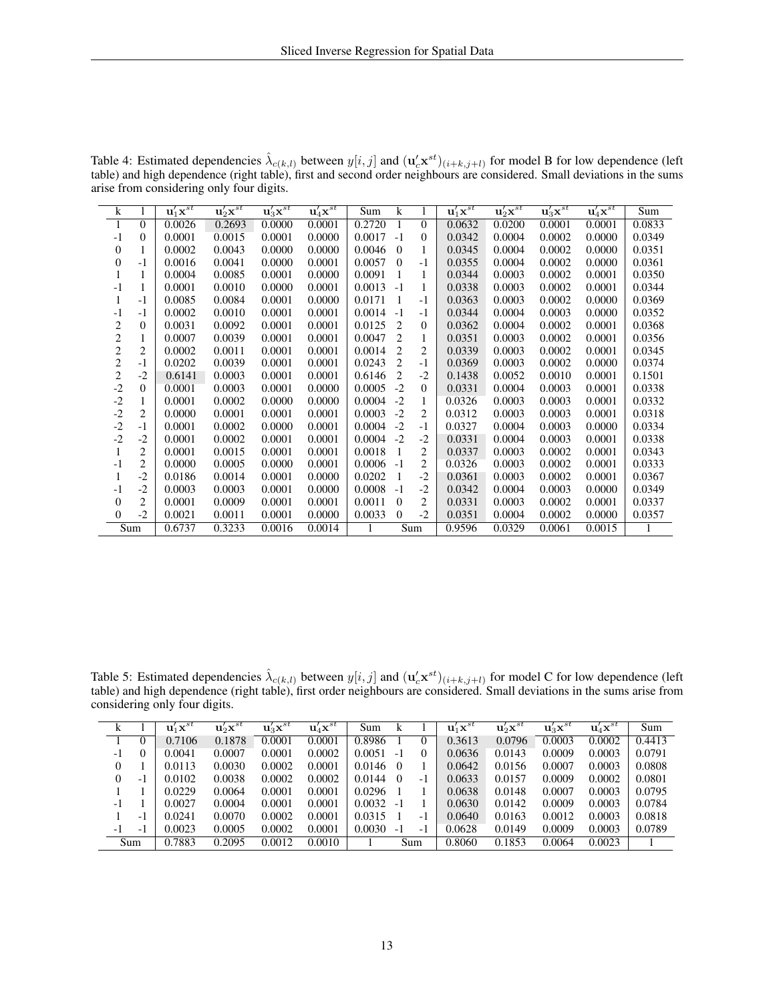| $\bf k$        |                | $\mathbf{u}_1^{\prime} \mathbf{x}^{st}$ | $\mathbf u_2' \mathbf x^{st}$ | $\mathbf{u}_3' \mathbf{x}^{st}$ | $\mathbf{u}_4' \overline{\mathbf{x}^{st}}$ | Sum    | k              |                | $\mathbf{u}_1^{\prime} \mathbf{x}^{st}$ | $\mathbf{u}_2' \mathbf{x}^{st}$ | $\mathbf{u}'_3\mathbf{x}^{st}$ | $\mathbf{u}_4' \mathbf{x}^{st}$ | Sum    |
|----------------|----------------|-----------------------------------------|-------------------------------|---------------------------------|--------------------------------------------|--------|----------------|----------------|-----------------------------------------|---------------------------------|--------------------------------|---------------------------------|--------|
| 1              | $\overline{0}$ | 0.0026                                  | 0.2693                        | 0.0000                          | 0.0001                                     | 0.2720 | 1              | $\Omega$       | 0.0632                                  | 0.0200                          | 0.0001                         | 0.0001                          | 0.0833 |
| $-1$           | $\Omega$       | 0.0001                                  | 0.0015                        | 0.0001                          | 0.0000                                     | 0.0017 | $-1$           | $\Omega$       | 0.0342                                  | 0.0004                          | 0.0002                         | 0.0000                          | 0.0349 |
| 0              | 1              | 0.0002                                  | 0.0043                        | 0.0000                          | 0.0000                                     | 0.0046 | $\Omega$       | 1              | 0.0345                                  | 0.0004                          | 0.0002                         | 0.0000                          | 0.0351 |
| $\overline{0}$ | $-1$           | 0.0016                                  | 0.0041                        | 0.0000                          | 0.0001                                     | 0.0057 | $\Omega$       | $-1$           | 0.0355                                  | 0.0004                          | 0.0002                         | 0.0000                          | 0.0361 |
| 1              | 1              | 0.0004                                  | 0.0085                        | 0.0001                          | 0.0000                                     | 0.0091 |                | 1              | 0.0344                                  | 0.0003                          | 0.0002                         | 0.0001                          | 0.0350 |
| $-1$           | 1              | 0.0001                                  | 0.0010                        | 0.0000                          | 0.0001                                     | 0.0013 | $-1$           | $\mathbf{1}$   | 0.0338                                  | 0.0003                          | 0.0002                         | 0.0001                          | 0.0344 |
| 1              | $-1$           | 0.0085                                  | 0.0084                        | 0.0001                          | 0.0000                                     | 0.0171 | 1              | $-1$           | 0.0363                                  | 0.0003                          | 0.0002                         | 0.0000                          | 0.0369 |
| -1             | $-1$           | 0.0002                                  | 0.0010                        | 0.0001                          | 0.0001                                     | 0.0014 | $-1$           | $-1$           | 0.0344                                  | 0.0004                          | 0.0003                         | 0.0000                          | 0.0352 |
| 2              | $\theta$       | 0.0031                                  | 0.0092                        | 0.0001                          | 0.0001                                     | 0.0125 | $\overline{c}$ | $\overline{0}$ | 0.0362                                  | 0.0004                          | 0.0002                         | 0.0001                          | 0.0368 |
| $\sqrt{2}$     | 1              | 0.0007                                  | 0.0039                        | 0.0001                          | 0.0001                                     | 0.0047 | $\overline{c}$ | 1              | 0.0351                                  | 0.0003                          | 0.0002                         | 0.0001                          | 0.0356 |
| $\overline{c}$ | $\overline{2}$ | 0.0002                                  | 0.0011                        | 0.0001                          | 0.0001                                     | 0.0014 | 2              | $\overline{2}$ | 0.0339                                  | 0.0003                          | 0.0002                         | 0.0001                          | 0.0345 |
| $\overline{c}$ | $-1$           | 0.0202                                  | 0.0039                        | 0.0001                          | 0.0001                                     | 0.0243 | 2              | $-1$           | 0.0369                                  | 0.0003                          | 0.0002                         | 0.0000                          | 0.0374 |
| $\overline{c}$ | $-2$           | 0.6141                                  | 0.0003                        | 0.0001                          | 0.0001                                     | 0.6146 | $\overline{c}$ | $-2$           | 0.1438                                  | 0.0052                          | 0.0010                         | 0.0001                          | 0.1501 |
| $-2$           | $\theta$       | 0.0001                                  | 0.0003                        | 0.0001                          | 0.0000                                     | 0.0005 | $-2$           | $\theta$       | 0.0331                                  | 0.0004                          | 0.0003                         | 0.0001                          | 0.0338 |
| $-2$           | 1              | 0.0001                                  | 0.0002                        | 0.0000                          | 0.0000                                     | 0.0004 | $-2$           | 1              | 0.0326                                  | 0.0003                          | 0.0003                         | 0.0001                          | 0.0332 |
| $-2$           | $\overline{2}$ | 0.0000                                  | 0.0001                        | 0.0001                          | 0.0001                                     | 0.0003 | $-2$           | $\overline{c}$ | 0.0312                                  | 0.0003                          | 0.0003                         | 0.0001                          | 0.0318 |
| $-2$           | $-1$           | 0.0001                                  | 0.0002                        | 0.0000                          | 0.0001                                     | 0.0004 | $-2$           | $-1$           | 0.0327                                  | 0.0004                          | 0.0003                         | 0.0000                          | 0.0334 |
| $-2$           | $-2$           | 0.0001                                  | 0.0002                        | 0.0001                          | 0.0001                                     | 0.0004 | $-2$           | $-2$           | 0.0331                                  | 0.0004                          | 0.0003                         | 0.0001                          | 0.0338 |
| 1              | $\overline{2}$ | 0.0001                                  | 0.0015                        | 0.0001                          | 0.0001                                     | 0.0018 | 1              | $\overline{c}$ | 0.0337                                  | 0.0003                          | 0.0002                         | 0.0001                          | 0.0343 |
| $-1$           | $\overline{c}$ | 0.0000                                  | 0.0005                        | 0.0000                          | 0.0001                                     | 0.0006 | $-1$           | $\overline{2}$ | 0.0326                                  | 0.0003                          | 0.0002                         | 0.0001                          | 0.0333 |
| 1              | $-2$           | 0.0186                                  | 0.0014                        | 0.0001                          | 0.0000                                     | 0.0202 | 1              | $-2$           | 0.0361                                  | 0.0003                          | 0.0002                         | 0.0001                          | 0.0367 |
| -1             | $-2$           | 0.0003                                  | 0.0003                        | 0.0001                          | 0.0000                                     | 0.0008 | $-1$           | $-2$           | 0.0342                                  | 0.0004                          | 0.0003                         | 0.0000                          | 0.0349 |
| $\overline{0}$ | 2              | 0.0001                                  | 0.0009                        | 0.0001                          | 0.0001                                     | 0.0011 | $\mathbf{0}$   | $\overline{c}$ | 0.0331                                  | 0.0003                          | 0.0002                         | 0.0001                          | 0.0337 |
| $\overline{0}$ | $-2$           | 0.0021                                  | 0.0011                        | 0.0001                          | 0.0000                                     | 0.0033 | $\mathbf{0}$   | $-2$           | 0.0351                                  | 0.0004                          | 0.0002                         | 0.0000                          | 0.0357 |
|                | Sum            | 0.6737                                  | 0.3233                        | 0.0016                          | 0.0014                                     |        |                | Sum            | 0.9596                                  | 0.0329                          | 0.0061                         | 0.0015                          |        |

Table 4: Estimated dependencies  $\hat{\lambda}_{c(k,l)}$  between  $y[i,j]$  and  $(\mathbf{u}_c^l \mathbf{x}^{st})_{(i+k,j+l)}$  for model B for low dependence (left table) and high dependence (right table), first and second order neighbours are considered. Small deviations in the sums arise from considering only four digits.

Table 5: Estimated dependencies  $\hat{\lambda}_{c(k,l)}$  between  $y[i,j]$  and  $(\mathbf{u}_c^l \mathbf{x}^{st})_{(i+k,j+l)}$  for model C for low dependence (left table) and high dependence (right table), first order neighbours are considered. Small deviations in the sums arise from considering only four digits.

| k  |     | $\mathbf{u}'_1\mathbf{x}^{st}$ | $\mathbf{u}_2' \mathbf{x}^{st}$ | $\mathbf{u}_3' \mathbf{x}^{st}$ | $\mathbf{u}_4' \mathbf{x}^{st}$ | Sum              |          |          | $\mathbf{u}'_1\mathbf{x}^{st}$ | $\mathbf u_2' \mathbf x^{st}$ | $\mathbf u_3' \mathbf x^{st}$ | $\mathbf u_4' \mathbf x^{st}$ | Sum    |
|----|-----|--------------------------------|---------------------------------|---------------------------------|---------------------------------|------------------|----------|----------|--------------------------------|-------------------------------|-------------------------------|-------------------------------|--------|
|    |     | 0.7106                         | 0.1878                          | 0.0001                          | 0.0001                          | 0.8986           |          | $\theta$ | 0.3613                         | 0.0796                        | 0.0003                        | 0.0002                        | 0.4413 |
| -1 |     | 0.0041                         | 0.0007                          | 0.0001                          | 0.0002                          | 0.0051           | $-1$     | $\theta$ | 0.0636                         | 0.0143                        | 0.0009                        | 0.0003                        | 0.0791 |
| 0  |     | 0.0113                         | 0.0030                          | 0.0002                          | 0.0001                          | $0.0146 \quad 0$ |          |          | 0.0642                         | 0.0156                        | 0.0007                        | 0.0003                        | 0.0808 |
| 0  | - 1 | 0.0102                         | 0.0038                          | 0.0002                          | 0.0002                          | 0.0144           | $\Omega$ | -1       | 0.0633                         | 0.0157                        | 0.0009                        | 0.0002                        | 0.0801 |
|    |     | 0.0229                         | 0.0064                          | 0.0001                          | 0.0001                          | 0.0296           |          |          | 0.0638                         | 0.0148                        | 0.0007                        | 0.0003                        | 0.0795 |
| -1 |     | 0.0027                         | 0.0004                          | 0.0001                          | 0.0001                          | $0.0032 -1$      |          |          | 0.0630                         | 0.0142                        | 0.0009                        | 0.0003                        | 0.0784 |
|    | - 1 | 0.0241                         | 0.0070                          | 0.0002                          | 0.0001                          | 0.0315           |          | -1       | 0.0640                         | 0.0163                        | 0.0012                        | 0.0003                        | 0.0818 |
| -1 | - 1 | 0.0023                         | 0.0005                          | 0.0002                          | 0.0001                          | 0.0030           | $-1$     | -1       | 0.0628                         | 0.0149                        | 0.0009                        | 0.0003                        | 0.0789 |
|    | Sum | 0.7883                         | 0.2095                          | 0.0012                          | 0.0010                          |                  |          | Sum      | 0.8060                         | 0.1853                        | 0.0064                        | 0.0023                        |        |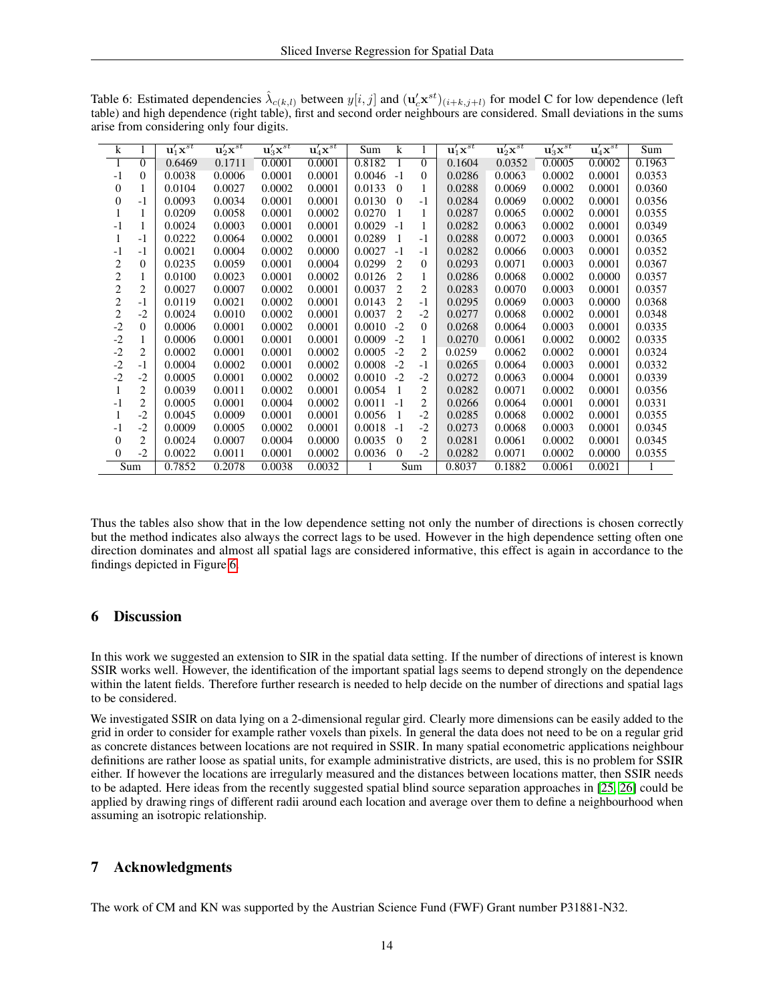<span id="page-13-0"></span>Table 6: Estimated dependencies  $\hat{\lambda}_{c(k,l)}$  between  $y[i,j]$  and  $(\mathbf{u}_c^j \mathbf{x}^{st})_{(i+k,j+l)}$  for model C for low dependence (left table) and high dependence (right table), first and second order neighbours are considered. Small deviations in the sums arise from considering only four digits.

| k              | 1              | $\mathbf{u}'_1\mathbf{x}^{st}$ | $\overline{{\bf u}'_2 {\bf x}^{st}}$ | $\mathbf u_3' \mathbf x^{st}$ | $\mathbf{u}_4' \mathbf{x}^{st}$ | Sum    | $\bf k$                     | 1              | $\mathbf{u}_1' \mathbf{x}^{st}$ | $\mathbf u_2' \mathbf x^{st}$ | $\mathbf{u}_3' \mathbf{x}^{st}$ | $\mathbf{u}_4' \mathbf{x}^{st}$ | Sum    |
|----------------|----------------|--------------------------------|--------------------------------------|-------------------------------|---------------------------------|--------|-----------------------------|----------------|---------------------------------|-------------------------------|---------------------------------|---------------------------------|--------|
| $\mathbf{1}$   | $\theta$       | 0.6469                         | 0.1711                               | 0.0001                        | 0.0001                          | 0.8182 |                             | $\Omega$       | 0.1604                          | 0.0352                        | 0.0005                          | 0.0002                          | 0.1963 |
| $-1$           | $\theta$       | 0.0038                         | 0.0006                               | 0.0001                        | 0.0001                          | 0.0046 | $-1$                        | $\overline{0}$ | 0.0286                          | 0.0063                        | 0.0002                          | 0.0001                          | 0.0353 |
| 0              | 1              | 0.0104                         | 0.0027                               | 0.0002                        | 0.0001                          | 0.0133 | $\theta$                    | 1              | 0.0288                          | 0.0069                        | 0.0002                          | 0.0001                          | 0.0360 |
| 0              | $-1$           | 0.0093                         | 0.0034                               | 0.0001                        | 0.0001                          | 0.0130 | $\theta$                    | $-1$           | 0.0284                          | 0.0069                        | 0.0002                          | 0.0001                          | 0.0356 |
| 1              | 1              | 0.0209                         | 0.0058                               | 0.0001                        | 0.0002                          | 0.0270 |                             | 1              | 0.0287                          | 0.0065                        | 0.0002                          | 0.0001                          | 0.0355 |
| $-1$           | 1              | 0.0024                         | 0.0003                               | 0.0001                        | 0.0001                          | 0.0029 | $-1$                        | 1              | 0.0282                          | 0.0063                        | 0.0002                          | 0.0001                          | 0.0349 |
| 1              | $-1$           | 0.0222                         | 0.0064                               | 0.0002                        | 0.0001                          | 0.0289 | -1                          | $-1$           | 0.0288                          | 0.0072                        | 0.0003                          | 0.0001                          | 0.0365 |
| $-1$           | $-1$           | 0.0021                         | 0.0004                               | 0.0002                        | 0.0000                          | 0.0027 | $-1$                        | $-1$           | 0.0282                          | 0.0066                        | 0.0003                          | 0.0001                          | 0.0352 |
| 2              | $\mathbf{0}$   | 0.0235                         | 0.0059                               | 0.0001                        | 0.0004                          | 0.0299 | $\overline{2}$              | $\mathbf{0}$   | 0.0293                          | 0.0071                        | 0.0003                          | 0.0001                          | 0.0367 |
| $\overline{c}$ | 1              | 0.0100                         | 0.0023                               | 0.0001                        | 0.0002                          | 0.0126 | 2                           | 1              | 0.0286                          | 0.0068                        | 0.0002                          | 0.0000                          | 0.0357 |
| $\mathbf{2}$   | 2              | 0.0027                         | 0.0007                               | 0.0002                        | 0.0001                          | 0.0037 | $\mathcal{D}_{\mathcal{L}}$ | 2              | 0.0283                          | 0.0070                        | 0.0003                          | 0.0001                          | 0.0357 |
| $\overline{c}$ | $-1$           | 0.0119                         | 0.0021                               | 0.0002                        | 0.0001                          | 0.0143 | 2                           | $-1$           | 0.0295                          | 0.0069                        | 0.0003                          | 0.0000                          | 0.0368 |
| 2              | $-2$           | 0.0024                         | 0.0010                               | 0.0002                        | 0.0001                          | 0.0037 | $\overline{2}$              | $-2$           | 0.0277                          | 0.0068                        | 0.0002                          | 0.0001                          | 0.0348 |
| $-2$           | $\theta$       | 0.0006                         | 0.0001                               | 0.0002                        | 0.0001                          | 0.0010 | $-2$                        | $\mathbf{0}$   | 0.0268                          | 0.0064                        | 0.0003                          | 0.0001                          | 0.0335 |
| $-2$           | 1              | 0.0006                         | 0.0001                               | 0.0001                        | 0.0001                          | 0.0009 | $-2$                        | 1              | 0.0270                          | 0.0061                        | 0.0002                          | 0.0002                          | 0.0335 |
| $-2$           | 2              | 0.0002                         | 0.0001                               | 0.0001                        | 0.0002                          | 0.0005 | $-2$                        | 2              | 0.0259                          | 0.0062                        | 0.0002                          | 0.0001                          | 0.0324 |
| $-2$           | $-1$           | 0.0004                         | 0.0002                               | 0.0001                        | 0.0002                          | 0.0008 | $-2$                        | $-1$           | 0.0265                          | 0.0064                        | 0.0003                          | 0.0001                          | 0.0332 |
| $-2$           | $-2$           | 0.0005                         | 0.0001                               | 0.0002                        | 0.0002                          | 0.0010 | $-2$                        | $-2$           | 0.0272                          | 0.0063                        | 0.0004                          | 0.0001                          | 0.0339 |
| 1              | $\overline{2}$ | 0.0039                         | 0.0011                               | 0.0002                        | 0.0001                          | 0.0054 | $\mathbf{1}$                | 2              | 0.0282                          | 0.0071                        | 0.0002                          | 0.0001                          | 0.0356 |
| $-1$           | 2              | 0.0005                         | 0.0001                               | 0.0004                        | 0.0002                          | 0.0011 | $-1$                        | 2              | 0.0266                          | 0.0064                        | 0.0001                          | 0.0001                          | 0.0331 |
| 1              | $-2$           | 0.0045                         | 0.0009                               | 0.0001                        | 0.0001                          | 0.0056 | -1                          | $-2$           | 0.0285                          | 0.0068                        | 0.0002                          | 0.0001                          | 0.0355 |
| -1             | $-2$           | 0.0009                         | 0.0005                               | 0.0002                        | 0.0001                          | 0.0018 | $-1$                        | $-2$           | 0.0273                          | 0.0068                        | 0.0003                          | 0.0001                          | 0.0345 |
| 0              | $\overline{2}$ | 0.0024                         | 0.0007                               | 0.0004                        | 0.0000                          | 0.0035 | $\Omega$                    | 2              | 0.0281                          | 0.0061                        | 0.0002                          | 0.0001                          | 0.0345 |
| $\Omega$       | $-2$           | 0.0022                         | 0.0011                               | 0.0001                        | 0.0002                          | 0.0036 | $\theta$                    | $-2$           | 0.0282                          | 0.0071                        | 0.0002                          | 0.0000                          | 0.0355 |
|                | Sum            | 0.7852                         | 0.2078                               | 0.0038                        | 0.0032                          | 1      | Sum                         |                | 0.8037                          | 0.1882                        | 0.0061                          | 0.0021                          | 1      |

Thus the tables also show that in the low dependence setting not only the number of directions is chosen correctly but the method indicates also always the correct lags to be used. However in the high dependence setting often one direction dominates and almost all spatial lags are considered informative, this effect is again in accordance to the findings depicted in Figure [6.](#page-9-1)

# 6 Discussion

In this work we suggested an extension to SIR in the spatial data setting. If the number of directions of interest is known SSIR works well. However, the identification of the important spatial lags seems to depend strongly on the dependence within the latent fields. Therefore further research is needed to help decide on the number of directions and spatial lags to be considered.

We investigated SSIR on data lying on a 2-dimensional regular gird. Clearly more dimensions can be easily added to the grid in order to consider for example rather voxels than pixels. In general the data does not need to be on a regular grid as concrete distances between locations are not required in SSIR. In many spatial econometric applications neighbour definitions are rather loose as spatial units, for example administrative districts, are used, this is no problem for SSIR either. If however the locations are irregularly measured and the distances between locations matter, then SSIR needs to be adapted. Here ideas from the recently suggested spatial blind source separation approaches in [\[25,](#page-14-24) [26\]](#page-14-25) could be applied by drawing rings of different radii around each location and average over them to define a neighbourhood when assuming an isotropic relationship.

# 7 Acknowledgments

The work of CM and KN was supported by the Austrian Science Fund (FWF) Grant number P31881-N32.